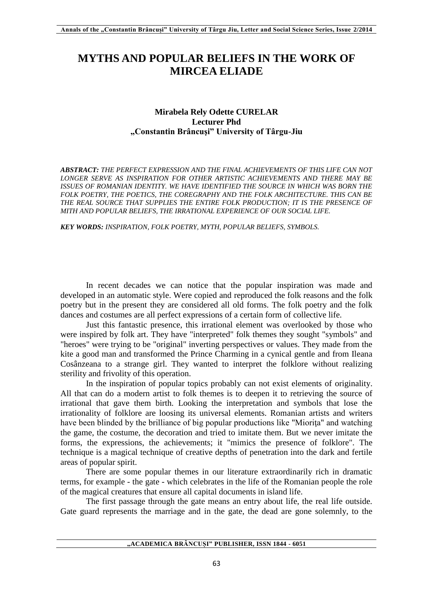## **MYTHS AND POPULAR BELIEFS IN THE WORK OF MIRCEA ELIADE**

## **Mirabela Rely Odette CURELAR Lecturer Phd "Constantin Brâncuşi" University of Târgu-Jiu**

*ABSTRACT: THE PERFECT EXPRESSION AND THE FINAL ACHIEVEMENTS OF THIS LIFE CAN NOT LONGER SERVE AS INSPIRATION FOR OTHER ARTISTIC ACHIEVEMENTS AND THERE MAY BE ISSUES OF ROMANIAN IDENTITY. WE HAVE IDENTIFIED THE SOURCE IN WHICH WAS BORN THE FOLK POETRY, THE POETICS, THE COREGRAPHY AND THE FOLK ARCHITECTURE. THIS CAN BE*  THE REAL SOURCE THAT SUPPLIES THE ENTIRE FOLK PRODUCTION; IT IS THE PRESENCE OF *MITH AND POPULAR BELIEFS, THE IRRATIONAL EXPERIENCE OF OUR SOCIAL LIFE.* 

*KEY WORDS: INSPIRATION, FOLK POETRY, MYTH, POPULAR BELIEFS, SYMBOLS.* 

In recent decades we can notice that the popular inspiration was made and developed in an automatic style. Were copied and reproduced the folk reasons and the folk poetry but in the present they are considered all old forms. The folk poetry and the folk dances and costumes are all perfect expressions of a certain form of collective life.

Just this fantastic presence, this irrational element was overlooked by those who were inspired by folk art. They have "interpreted" folk themes they sought "symbols" and "heroes" were trying to be "original" inverting perspectives or values. They made from the kite a good man and transformed the Prince Charming in a cynical gentle and from Ileana Cosânzeana to a strange girl. They wanted to interpret the folklore without realizing sterility and frivolity of this operation.

In the inspiration of popular topics probably can not exist elements of originality. All that can do a modern artist to folk themes is to deepen it to retrieving the source of irrational that gave them birth. Looking the interpretation and symbols that lose the irrationality of folklore are loosing its universal elements. Romanian artists and writers have been blinded by the brilliance of big popular productions like "Mioriţa" and watching the game, the costume, the decoration and tried to imitate them. But we never imitate the forms, the expressions, the achievements; it "mimics the presence of folklore". The technique is a magical technique of creative depths of penetration into the dark and fertile areas of popular spirit.

There are some popular themes in our literature extraordinarily rich in dramatic terms, for example - the gate - which celebrates in the life of the Romanian people the role of the magical creatures that ensure all capital documents in island life.

The first passage through the gate means an entry about life, the real life outside. Gate guard represents the marriage and in the gate, the dead are gone solemnly, to the

**"ACADEMICA BRÂNCUȘI" PUBLISHER, ISSN 1844 - 6051**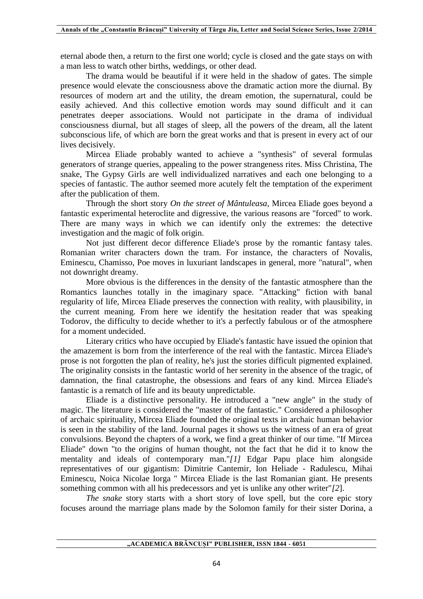eternal abode then, a return to the first one world; cycle is closed and the gate stays on with a man less to watch other births, weddings, or other dead.

The drama would be beautiful if it were held in the shadow of gates. The simple presence would elevate the consciousness above the dramatic action more the diurnal. By resources of modern art and the utility, the dream emotion, the supernatural, could be easily achieved. And this collective emotion words may sound difficult and it can penetrates deeper associations. Would not participate in the drama of individual consciousness diurnal, but all stages of sleep, all the powers of the dream, all the latent subconscious life, of which are born the great works and that is present in every act of our lives decisively.

Mircea Eliade probably wanted to achieve a "synthesis" of several formulas generators of strange queries, appealing to the power strangeness rites. Miss Christina, The snake, The Gypsy Girls are well individualized narratives and each one belonging to a species of fantastic. The author seemed more acutely felt the temptation of the experiment after the publication of them.

Through the short story *On the street of Mântuleasa*, Mircea Eliade goes beyond a fantastic experimental heteroclite and digressive, the various reasons are "forced" to work. There are many ways in which we can identify only the extremes: the detective investigation and the magic of folk origin.

Not just different decor difference Eliade's prose by the romantic fantasy tales. Romanian writer characters down the tram. For instance, the characters of Novalis, Eminescu, Chamisso, Poe moves in luxuriant landscapes in general, more "natural", when not downright dreamy.

More obvious is the differences in the density of the fantastic atmosphere than the Romantics launches totally in the imaginary space. "Attacking" fiction with banal regularity of life, Mircea Eliade preserves the connection with reality, with plausibility, in the current meaning. From here we identify the hesitation reader that was speaking Todorov, the difficulty to decide whether to it's a perfectly fabulous or of the atmosphere for a moment undecided.

Literary critics who have occupied by Eliade's fantastic have issued the opinion that the amazement is born from the interference of the real with the fantastic. Mircea Eliade's prose is not forgotten the plan of reality, he's just the stories difficult pigmented explained. The originality consists in the fantastic world of her serenity in the absence of the tragic, of damnation, the final catastrophe, the obsessions and fears of any kind. Mircea Eliade's fantastic is a rematch of life and its beauty unpredictable.

Eliade is a distinctive personality. He introduced a "new angle" in the study of magic. The literature is considered the "master of the fantastic." Considered a philosopher of archaic spirituality, Mircea Eliade founded the original texts in archaic human behavior is seen in the stability of the land. Journal pages it shows us the witness of an era of great convulsions. Beyond the chapters of a work, we find a great thinker of our time. "If Mircea Eliade" down "to the origins of human thought, not the fact that he did it to know the mentality and ideals of contemporary man."*[1]* Edgar Papu place him alongside representatives of our gigantism: Dimitrie Cantemir, Ion Heliade - Radulescu, Mihai Eminescu, Noica Nicolae Iorga " Mircea Eliade is the last Romanian giant. He presents something common with all his predecessors and yet is unlike any other writer"*[2*].

*The snake* story starts with a short story of love spell, but the core epic story focuses around the marriage plans made by the Solomon family for their sister Dorina, a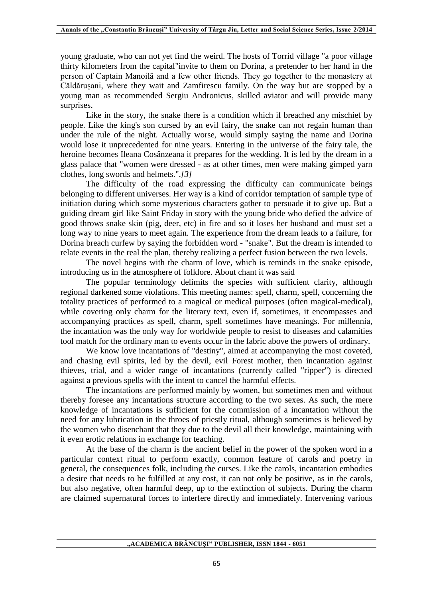young graduate, who can not yet find the weird. The hosts of Torrid village "a poor village thirty kilometers from the capital"invite to them on Dorina, a pretender to her hand in the person of Captain Manoilă and a few other friends. They go together to the monastery at Căldăruşani, where they wait and Zamfirescu family. On the way but are stopped by a young man as recommended Sergiu Andronicus, skilled aviator and will provide many surprises.

Like in the story, the snake there is a condition which if breached any mischief by people. Like the king's son cursed by an evil fairy, the snake can not regain human than under the rule of the night. Actually worse, would simply saying the name and Dorina would lose it unprecedented for nine years. Entering in the universe of the fairy tale, the heroine becomes Ileana Cosânzeana it prepares for the wedding. It is led by the dream in a glass palace that "women were dressed - as at other times, men were making gimped yarn clothes, long swords and helmets.".*[3]* 

The difficulty of the road expressing the difficulty can communicate beings belonging to different universes. Her way is a kind of corridor temptation of sample type of initiation during which some mysterious characters gather to persuade it to give up. But a guiding dream girl like Saint Friday in story with the young bride who defied the advice of good throws snake skin (pig, deer, etc) in fire and so it loses her husband and must set a long way to nine years to meet again. The experience from the dream leads to a failure, for Dorina breach curfew by saying the forbidden word - "snake". But the dream is intended to relate events in the real the plan, thereby realizing a perfect fusion between the two levels.

The novel begins with the charm of love, which is reminds in the snake episode, introducing us in the atmosphere of folklore. About chant it was said

The popular terminology delimits the species with sufficient clarity, although regional darkened some violations. This meeting names: spell, charm, spell, concerning the totality practices of performed to a magical or medical purposes (often magical-medical), while covering only charm for the literary text, even if, sometimes, it encompasses and accompanying practices as spell, charm, spell sometimes have meanings. For millennia, the incantation was the only way for worldwide people to resist to diseases and calamities tool match for the ordinary man to events occur in the fabric above the powers of ordinary.

We know love incantations of "destiny", aimed at accompanying the most coveted, and chasing evil spirits, led by the devil, evil Forest mother, then incantation against thieves, trial, and a wider range of incantations (currently called "ripper") is directed against a previous spells with the intent to cancel the harmful effects.

The incantations are performed mainly by women, but sometimes men and without thereby foresee any incantations structure according to the two sexes. As such, the mere knowledge of incantations is sufficient for the commission of a incantation without the need for any lubrication in the throes of priestly ritual, although sometimes is believed by the women who disenchant that they due to the devil all their knowledge, maintaining with it even erotic relations in exchange for teaching.

At the base of the charm is the ancient belief in the power of the spoken word in a particular context ritual to perform exactly, common feature of carols and poetry in general, the consequences folk, including the curses. Like the carols, incantation embodies a desire that needs to be fulfilled at any cost, it can not only be positive, as in the carols, but also negative, often harmful deep, up to the extinction of subjects. During the charm are claimed supernatural forces to interfere directly and immediately. Intervening various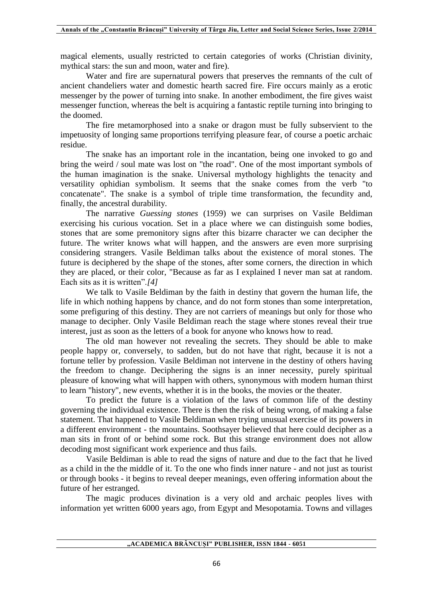magical elements, usually restricted to certain categories of works (Christian divinity, mythical stars: the sun and moon, water and fire).

Water and fire are supernatural powers that preserves the remnants of the cult of ancient chandeliers water and domestic hearth sacred fire. Fire occurs mainly as a erotic messenger by the power of turning into snake. In another embodiment, the fire gives waist messenger function, whereas the belt is acquiring a fantastic reptile turning into bringing to the doomed.

The fire metamorphosed into a snake or dragon must be fully subservient to the impetuosity of longing same proportions terrifying pleasure fear, of course a poetic archaic residue.

The snake has an important role in the incantation, being one invoked to go and bring the weird / soul mate was lost on "the road". One of the most important symbols of the human imagination is the snake. Universal mythology highlights the tenacity and versatility ophidian symbolism. It seems that the snake comes from the verb "to concatenate". The snake is a symbol of triple time transformation, the fecundity and, finally, the ancestral durability.

The narrative *Guessing stones* (1959) we can surprises on Vasile Beldiman exercising his curious vocation. Set in a place where we can distinguish some bodies, stones that are some premonitory signs after this bizarre character we can decipher the future. The writer knows what will happen, and the answers are even more surprising considering strangers. Vasile Beldiman talks about the existence of moral stones. The future is deciphered by the shape of the stones, after some corners, the direction in which they are placed, or their color, "Because as far as I explained I never man sat at random. Each sits as it is written".*[4]*

We talk to Vasile Beldiman by the faith in destiny that govern the human life, the life in which nothing happens by chance, and do not form stones than some interpretation, some prefiguring of this destiny. They are not carriers of meanings but only for those who manage to decipher. Only Vasile Beldiman reach the stage where stones reveal their true interest, just as soon as the letters of a book for anyone who knows how to read.

The old man however not revealing the secrets. They should be able to make people happy or, conversely, to sadden, but do not have that right, because it is not a fortune teller by profession. Vasile Beldiman not intervene in the destiny of others having the freedom to change. Deciphering the signs is an inner necessity, purely spiritual pleasure of knowing what will happen with others, synonymous with modern human thirst to learn "history", new events, whether it is in the books, the movies or the theater.

To predict the future is a violation of the laws of common life of the destiny governing the individual existence. There is then the risk of being wrong, of making a false statement. That happened to Vasile Beldiman when trying unusual exercise of its powers in a different environment - the mountains. Soothsayer believed that here could decipher as a man sits in front of or behind some rock. But this strange environment does not allow decoding most significant work experience and thus fails.

Vasile Beldiman is able to read the signs of nature and due to the fact that he lived as a child in the the middle of it. To the one who finds inner nature - and not just as tourist or through books - it begins to reveal deeper meanings, even offering information about the future of her estranged.

The magic produces divination is a very old and archaic peoples lives with information yet written 6000 years ago, from Egypt and Mesopotamia. Towns and villages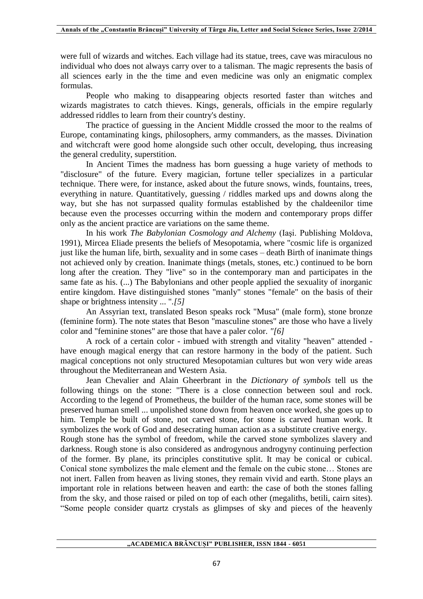were full of wizards and witches. Each village had its statue, trees, cave was miraculous no individual who does not always carry over to a talisman. The magic represents the basis of all sciences early in the the time and even medicine was only an enigmatic complex formulas.

People who making to disappearing objects resorted faster than witches and wizards magistrates to catch thieves. Kings, generals, officials in the empire regularly addressed riddles to learn from their country's destiny.

The practice of guessing in the Ancient Middle crossed the moor to the realms of Europe, contaminating kings, philosophers, army commanders, as the masses. Divination and witchcraft were good home alongside such other occult, developing, thus increasing the general credulity, superstition.

In Ancient Times the madness has born guessing a huge variety of methods to "disclosure" of the future. Every magician, fortune teller specializes in a particular technique. There were, for instance, asked about the future snows, winds, fountains, trees, everything in nature. Quantitatively, guessing / riddles marked ups and downs along the way, but she has not surpassed quality formulas established by the chaldeenilor time because even the processes occurring within the modern and contemporary props differ only as the ancient practice are variations on the same theme.

In his work *The Babylonian Cosmology and Alchemy* (Iaşi. Publishing Moldova, 1991), Mircea Eliade presents the beliefs of Mesopotamia, where "cosmic life is organized just like the human life, birth, sexuality and in some cases – death Birth of inanimate things not achieved only by creation. Inanimate things (metals, stones, etc.) continued to be born long after the creation. They "live" so in the contemporary man and participates in the same fate as his. (...) The Babylonians and other people applied the sexuality of inorganic entire kingdom. Have distinguished stones "manly" stones "female" on the basis of their shape or brightness intensity ... "*.[5]*

An Assyrian text, translated Beson speaks rock "Musa" (male form), stone bronze (feminine form). The note states that Beson "masculine stones" are those who have a lively color and "feminine stones" are those that have a paler color. *"[6]*

A rock of a certain color - imbued with strength and vitality "heaven" attended have enough magical energy that can restore harmony in the body of the patient. Such magical conceptions not only structured Mesopotamian cultures but won very wide areas throughout the Mediterranean and Western Asia.

Jean Chevalier and Alain Gheerbrant in the *Dictionary of symbols* tell us the following things on the stone: "There is a close connection between soul and rock. According to the legend of Prometheus, the builder of the human race, some stones will be preserved human smell ... unpolished stone down from heaven once worked, she goes up to him. Temple be built of stone, not carved stone, for stone is carved human work. It symbolizes the work of God and desecrating human action as a substitute creative energy.

Rough stone has the symbol of freedom, while the carved stone symbolizes slavery and darkness. Rough stone is also considered as androgynous androgyny continuing perfection of the former. By plane, its principles constitutive split. It may be conical or cubical. Conical stone symbolizes the male element and the female on the cubic stone… Stones are not inert. Fallen from heaven as living stones, they remain vivid and earth. Stone plays an important role in relations between heaven and earth: the case of both the stones falling from the sky, and those raised or piled on top of each other (megaliths, betili, cairn sites). "Some people consider quartz crystals as glimpses of sky and pieces of the heavenly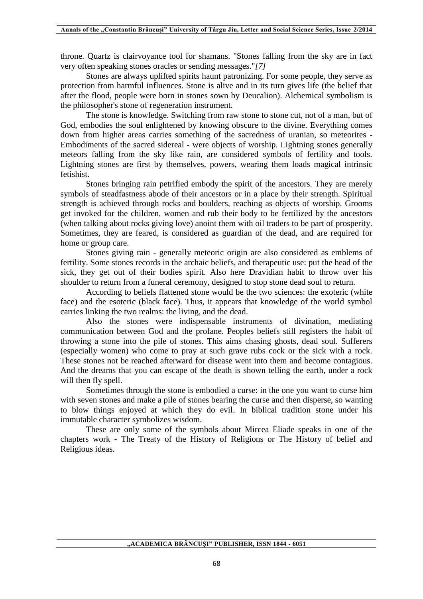throne. Quartz is clairvoyance tool for shamans. "Stones falling from the sky are in fact very often speaking stones oracles or sending messages."*[7]*

Stones are always uplifted spirits haunt patronizing. For some people, they serve as protection from harmful influences. Stone is alive and in its turn gives life (the belief that after the flood, people were born in stones sown by Deucalion). Alchemical symbolism is the philosopher's stone of regeneration instrument.

The stone is knowledge. Switching from raw stone to stone cut, not of a man, but of God, embodies the soul enlightened by knowing obscure to the divine. Everything comes down from higher areas carries something of the sacredness of uranian, so meteorites - Embodiments of the sacred sidereal - were objects of worship. Lightning stones generally meteors falling from the sky like rain, are considered symbols of fertility and tools. Lightning stones are first by themselves, powers, wearing them loads magical intrinsic fetishist.

Stones bringing rain petrified embody the spirit of the ancestors. They are merely symbols of steadfastness abode of their ancestors or in a place by their strength. Spiritual strength is achieved through rocks and boulders, reaching as objects of worship. Grooms get invoked for the children, women and rub their body to be fertilized by the ancestors (when talking about rocks giving love) anoint them with oil traders to be part of prosperity. Sometimes, they are feared, is considered as guardian of the dead, and are required for home or group care.

Stones giving rain - generally meteoric origin are also considered as emblems of fertility. Some stones records in the archaic beliefs, and therapeutic use: put the head of the sick, they get out of their bodies spirit. Also here Dravidian habit to throw over his shoulder to return from a funeral ceremony, designed to stop stone dead soul to return.

According to beliefs flattened stone would be the two sciences: the exoteric (white face) and the esoteric (black face). Thus, it appears that knowledge of the world symbol carries linking the two realms: the living, and the dead.

Also the stones were indispensable instruments of divination, mediating communication between God and the profane. Peoples beliefs still registers the habit of throwing a stone into the pile of stones. This aims chasing ghosts, dead soul. Sufferers (especially women) who come to pray at such grave rubs cock or the sick with a rock. These stones not be reached afterward for disease went into them and become contagious. And the dreams that you can escape of the death is shown telling the earth, under a rock will then fly spell.

Sometimes through the stone is embodied a curse: in the one you want to curse him with seven stones and make a pile of stones bearing the curse and then disperse, so wanting to blow things enjoyed at which they do evil. In biblical tradition stone under his immutable character symbolizes wisdom.

These are only some of the symbols about Mircea Eliade speaks in one of the chapters work - The Treaty of the History of Religions or The History of belief and Religious ideas.